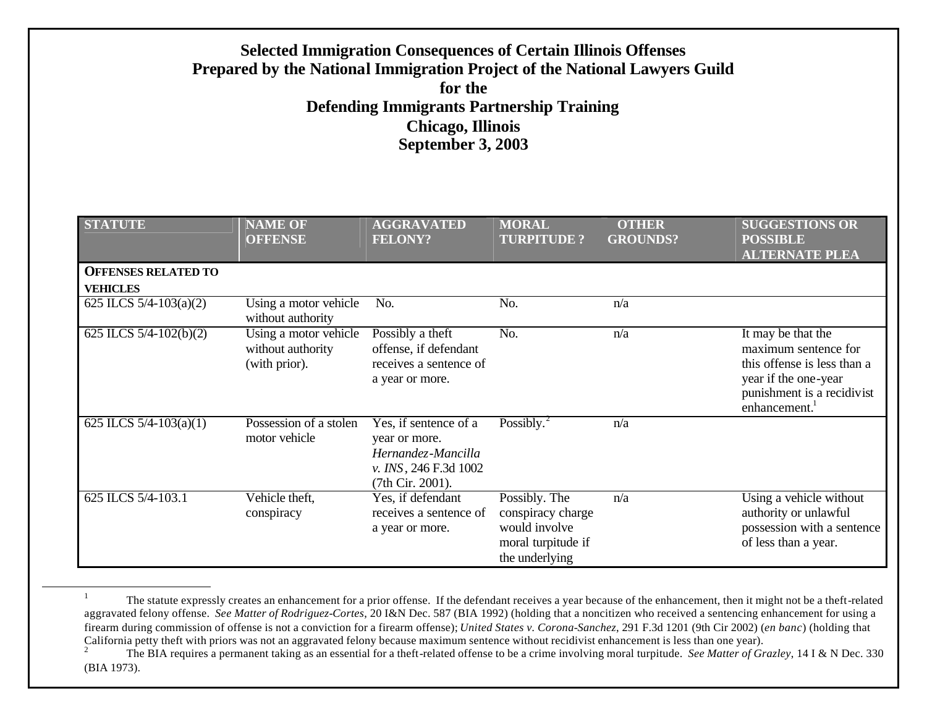# **Selected Immigration Consequences of Certain Illinois Offenses Prepared by the National Immigration Project of the National Lawyers Guild for the Defending Immigrants Partnership Training Chicago, Illinois September 3, 2003**

| <b>STATUTE</b>                                | <b>NAME OF</b><br><b>OFFENSE</b>                            | <b>AGGRAVATED</b><br><b>FELONY?</b>                                                                       | <b>MORAL</b><br><b>TURPITUDE?</b>                                                           | <b>OTHER</b><br><b>GROUNDS?</b> | <b>SUGGESTIONS OR</b><br><b>POSSIBLE</b><br><b>ALTERNATE PLEA</b>                                                                                            |
|-----------------------------------------------|-------------------------------------------------------------|-----------------------------------------------------------------------------------------------------------|---------------------------------------------------------------------------------------------|---------------------------------|--------------------------------------------------------------------------------------------------------------------------------------------------------------|
| <b>OFFENSES RELATED TO</b><br><b>VEHICLES</b> |                                                             |                                                                                                           |                                                                                             |                                 |                                                                                                                                                              |
| 625 ILCS $5/4 - 103(a)(2)$                    | Using a motor vehicle<br>without authority                  | No.                                                                                                       | No.                                                                                         | n/a                             |                                                                                                                                                              |
| 625 ILCS $5/4 - 102(b)(2)$                    | Using a motor vehicle<br>without authority<br>(with prior). | Possibly a theft<br>offense, if defendant<br>receives a sentence of<br>a year or more.                    | No.                                                                                         | n/a                             | It may be that the<br>maximum sentence for<br>this offense is less than a<br>year if the one-year<br>punishment is a recidivist<br>enhancement. <sup>1</sup> |
| 625 ILCS $5/4 - 103(a)(1)$                    | Possession of a stolen<br>motor vehicle                     | Yes, if sentence of a<br>year or more.<br>Hernandez-Mancilla<br>v. INS, 246 F.3d 1002<br>(7th Cir. 2001). | Possibly. $^{2}$                                                                            | n/a                             |                                                                                                                                                              |
| 625 ILCS 5/4-103.1                            | Vehicle theft,<br>conspiracy                                | Yes, if defendant<br>receives a sentence of<br>a year or more.                                            | Possibly. The<br>conspiracy charge<br>would involve<br>moral turpitude if<br>the underlying | n/a                             | Using a vehicle without<br>authority or unlawful<br>possession with a sentence<br>of less than a year.                                                       |

<sup>1</sup> The statute expressly creates an enhancement for a prior offense. If the defendant receives a year because of the enhancement, then it might not be a theft-related aggravated felony offense. *See Matter of Rodriguez-Cortes*, 20 I&N Dec. 587 (BIA 1992) (holding that a noncitizen who received a sentencing enhancement for using a firearm during commission of offense is not a conviction for a firearm offense); *United States v. Corona-Sanchez*, 291 F.3d 1201 (9th Cir 2002) (*en banc*) (holding that California petty theft with priors was not an aggravated felony because maximum sentence without recidivist enhancement is less than one year).

<sup>2</sup> The BIA requires a permanent taking as an essential for a theft-related offense to be a crime involving moral turpitude. *See Matter of Grazley*, 14 I & N Dec. 330 (BIA 1973).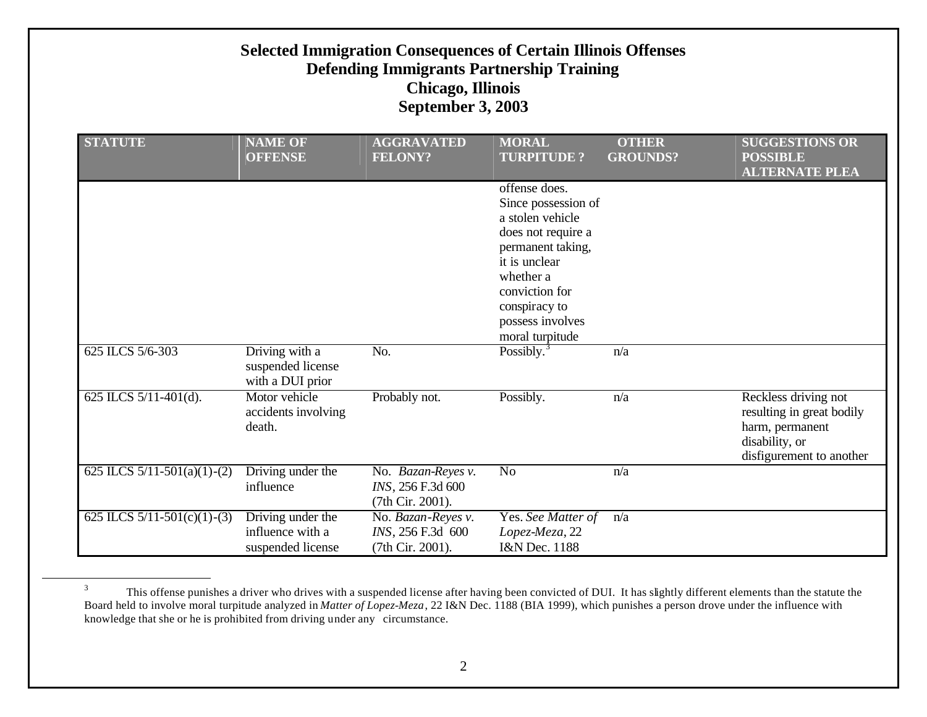|                                   | <b>Selected Immigration Consequences of Certain Illinois Offenses</b><br><b>Defending Immigrants Partnership Training</b><br><b>Chicago, Illinois</b><br><b>September 3, 2003</b> |                                                             |                                                                                                                                                                                                             |                                 |                                                                                                                    |  |  |  |
|-----------------------------------|-----------------------------------------------------------------------------------------------------------------------------------------------------------------------------------|-------------------------------------------------------------|-------------------------------------------------------------------------------------------------------------------------------------------------------------------------------------------------------------|---------------------------------|--------------------------------------------------------------------------------------------------------------------|--|--|--|
| <b>STATUTE</b>                    | <b>NAME OF</b><br><b>OFFENSE</b>                                                                                                                                                  | <b>AGGRAVATED</b><br><b>FELONY?</b>                         | <b>MORAL</b><br><b>TURPITUDE?</b>                                                                                                                                                                           | <b>OTHER</b><br><b>GROUNDS?</b> | <b>SUGGESTIONS OR</b><br><b>POSSIBLE</b><br><b>ALTERNATE PLEA</b>                                                  |  |  |  |
|                                   |                                                                                                                                                                                   |                                                             | offense does.<br>Since possession of<br>a stolen vehicle<br>does not require a<br>permanent taking,<br>it is unclear<br>whether a<br>conviction for<br>conspiracy to<br>possess involves<br>moral turpitude |                                 |                                                                                                                    |  |  |  |
| 625 ILCS 5/6-303                  | Driving with a<br>suspended license<br>with a DUI prior                                                                                                                           | No.                                                         | Possibly. $3$                                                                                                                                                                                               | n/a                             |                                                                                                                    |  |  |  |
| 625 ILCS 5/11-401(d).             | Motor vehicle<br>accidents involving<br>death.                                                                                                                                    | Probably not.                                               | Possibly.                                                                                                                                                                                                   | n/a                             | Reckless driving not<br>resulting in great bodily<br>harm, permanent<br>disability, or<br>disfigurement to another |  |  |  |
| 625 ILCS $5/11-501(a)(1)-(2)$     | Driving under the<br>influence                                                                                                                                                    | No. Bazan-Reyes v.<br>INS, 256 F.3d 600<br>(7th Cir. 2001). | $\overline{No}$                                                                                                                                                                                             | n/a                             |                                                                                                                    |  |  |  |
| 625 ILCS $5/11 - 501(c)(1) - (3)$ | Driving under the<br>influence with a<br>suspended license                                                                                                                        | No. Bazan-Reyes v.<br>INS, 256 F.3d 600<br>(7th Cir. 2001). | Yes. See Matter of<br>Lopez-Meza, 22<br>I&N Dec. 1188                                                                                                                                                       | n/a                             |                                                                                                                    |  |  |  |

 $3 \text{ This of }$  This offense punishes a driver who drives with a suspended license after having been convicted of DUI. It has slightly different elements than the statute the Board held to involve moral turpitude analyzed in *Matter of Lopez-Meza*, 22 I&N Dec. 1188 (BIA 1999), which punishes a person drove under the influence with knowledge that she or he is prohibited from driving under any circumstance.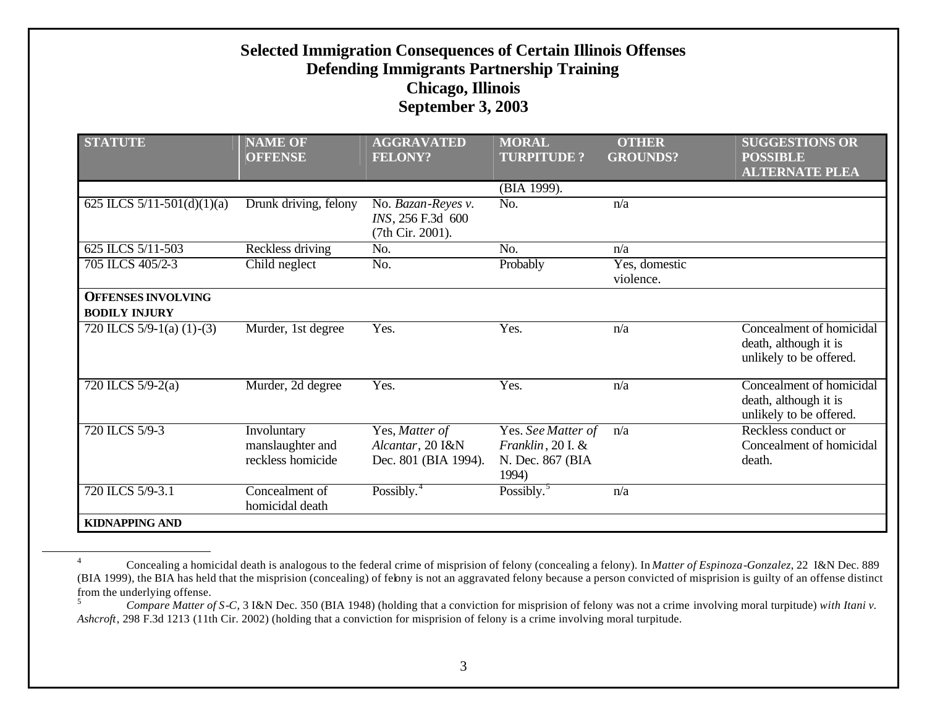| <b>STATUTE</b>                                    | <b>NAME OF</b><br><b>OFFENSE</b>                     | <b>AGGRAVATED</b><br><b>FELONY?</b>                         | <b>MORAL</b><br><b>TURPITUDE?</b>                                    | <b>OTHER</b><br><b>GROUNDS?</b> | <b>SUGGESTIONS OR</b><br><b>POSSIBLE</b><br><b>ALTERNATE PLEA</b>            |
|---------------------------------------------------|------------------------------------------------------|-------------------------------------------------------------|----------------------------------------------------------------------|---------------------------------|------------------------------------------------------------------------------|
|                                                   |                                                      |                                                             | (BIA 1999).                                                          |                                 |                                                                              |
| 625 ILCS $5/11 - 501(d)(1)(a)$                    | Drunk driving, felony                                | No. Bazan-Reyes v.<br>INS, 256 F.3d 600<br>(7th Cir. 2001). | N <sub>o</sub>                                                       | n/a                             |                                                                              |
| 625 ILCS 5/11-503                                 | Reckless driving                                     | No.                                                         | No.                                                                  | n/a                             |                                                                              |
| 705 ILCS 405/2-3                                  | Child neglect                                        | No.                                                         | Probably                                                             | Yes, domestic<br>violence.      |                                                                              |
| <b>OFFENSES INVOLVING</b><br><b>BODILY INJURY</b> |                                                      |                                                             |                                                                      |                                 |                                                                              |
| 720 ILCS $5/9-1$ (a) (1)-(3)                      | Murder, 1st degree                                   | Yes.                                                        | Yes.                                                                 | n/a                             | Concealment of homicidal<br>death, although it is<br>unlikely to be offered. |
| 720 ILCS 5/9-2(a)                                 | Murder, 2d degree                                    | Yes.                                                        | Yes.                                                                 | n/a                             | Concealment of homicidal<br>death, although it is<br>unlikely to be offered. |
| 720 ILCS 5/9-3                                    | Involuntary<br>manslaughter and<br>reckless homicide | Yes, Matter of<br>Alcantar, 20 I&N<br>Dec. 801 (BIA 1994).  | Yes. See Matter of<br>Franklin, 20 I. &<br>N. Dec. 867 (BIA<br>1994) | n/a                             | Reckless conduct or<br>Concealment of homicidal<br>death.                    |
| 720 ILCS 5/9-3.1                                  | Concealment of<br>homicidal death                    | Possibly. $4$                                               | Possibly. <sup>5</sup>                                               | n/a                             |                                                                              |
| <b>KIDNAPPING AND</b>                             |                                                      |                                                             |                                                                      |                                 |                                                                              |

<sup>4</sup> Concealing a homicidal death is analogous to the federal crime of misprision of felony (concealing a felony). In *Matter of Espinoza-Gonzalez*, 22 I&N Dec. 889 (BIA 1999), the BIA has held that the misprision (concealing) of felony is not an aggravated felony because a person convicted of misprision is guilty of an offense distinct from the underlying offense.

<sup>5</sup> *Compare Matter of S-C*, 3 I&N Dec. 350 (BIA 1948) (holding that a conviction for misprision of felony was not a crime involving moral turpitude) *with Itani v. Ashcroft*, 298 F.3d 1213 (11th Cir. 2002) (holding that a conviction for misprision of felony is a crime involving moral turpitude.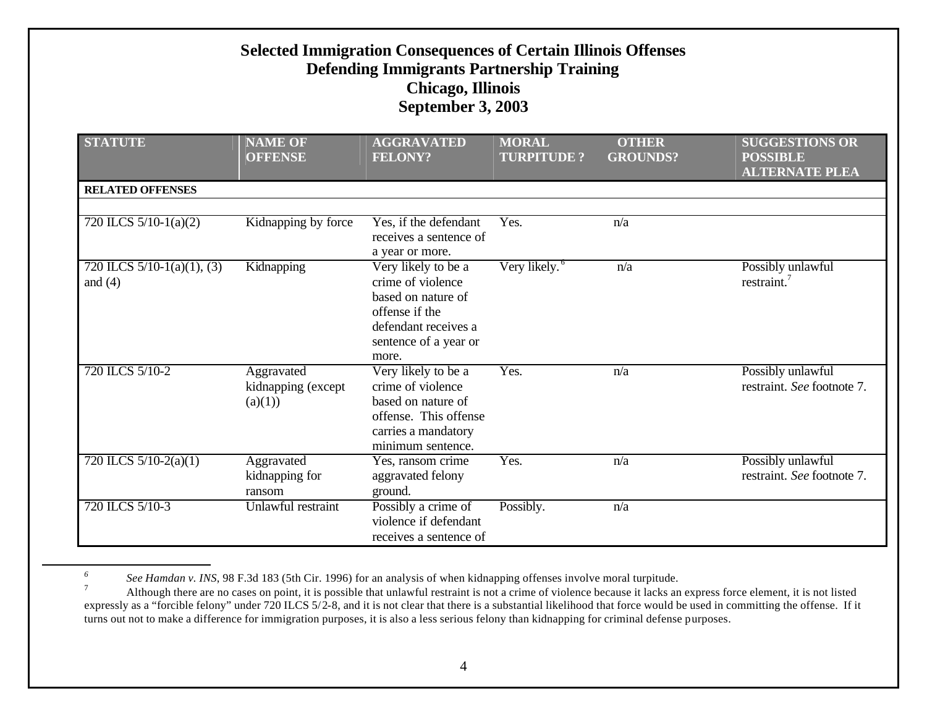| <b>Selected Immigration Consequences of Certain Illinois Offenses</b><br><b>Defending Immigrants Partnership Training</b><br><b>Chicago, Illinois</b><br><b>September 3, 2003</b> |                                             |                                                                                                                                            |                                   |                                 |                                                                   |  |  |
|-----------------------------------------------------------------------------------------------------------------------------------------------------------------------------------|---------------------------------------------|--------------------------------------------------------------------------------------------------------------------------------------------|-----------------------------------|---------------------------------|-------------------------------------------------------------------|--|--|
| <b>STATUTE</b>                                                                                                                                                                    | <b>NAME OF</b><br><b>OFFENSE</b>            | <b>AGGRAVATED</b><br><b>FELONY?</b>                                                                                                        | <b>MORAL</b><br><b>TURPITUDE?</b> | <b>OTHER</b><br><b>GROUNDS?</b> | <b>SUGGESTIONS OR</b><br><b>POSSIBLE</b><br><b>ALTERNATE PLEA</b> |  |  |
| <b>RELATED OFFENSES</b>                                                                                                                                                           |                                             |                                                                                                                                            |                                   |                                 |                                                                   |  |  |
| 720 ILCS $5/10-1(a)(2)$                                                                                                                                                           | Kidnapping by force                         | Yes, if the defendant<br>receives a sentence of<br>a year or more.                                                                         | Yes.                              | n/a                             |                                                                   |  |  |
| 720 ILCS $5/10-1(a)(1)$ , (3)<br>and $(4)$                                                                                                                                        | Kidnapping                                  | Very likely to be a<br>crime of violence<br>based on nature of<br>offense if the<br>defendant receives a<br>sentence of a year or<br>more. | Very likely. <sup>6</sup>         | n/a                             | Possibly unlawful<br>restraint. <sup>7</sup>                      |  |  |
| 720 ILCS 5/10-2                                                                                                                                                                   | Aggravated<br>kidnapping (except<br>(a)(1)) | Very likely to be a<br>crime of violence<br>based on nature of<br>offense. This offense<br>carries a mandatory<br>minimum sentence.        | Yes.                              | n/a                             | Possibly unlawful<br>restraint. See footnote 7.                   |  |  |
| 720 ILCS $5/10-2(a)(1)$                                                                                                                                                           | Aggravated<br>kidnapping for<br>ransom      | Yes, ransom crime<br>aggravated felony<br>ground.                                                                                          | Yes.                              | n/a                             | Possibly unlawful<br>restraint. See footnote 7.                   |  |  |
| 720 ILCS 5/10-3                                                                                                                                                                   | Unlawful restraint                          | Possibly a crime of<br>violence if defendant<br>receives a sentence of                                                                     | Possibly.                         | n/a                             |                                                                   |  |  |

*<sup>6</sup> See Hamdan v. INS*, 98 F.3d 183 (5th Cir. 1996) for an analysis of when kidnapping offenses involve moral turpitude.

<sup>7</sup> Although there are no cases on point, it is possible that unlawful restraint is not a crime of violence because it lacks an express force element, it is not listed expressly as a "forcible felony" under  $720$  ILCS  $5/2$ -8, and it is not clear that there is a substantial likelihood that force would be used in committing the offense. If it turns out not to make a difference for immigration purposes, it is also a less serious felony than kidnapping for criminal defense purposes.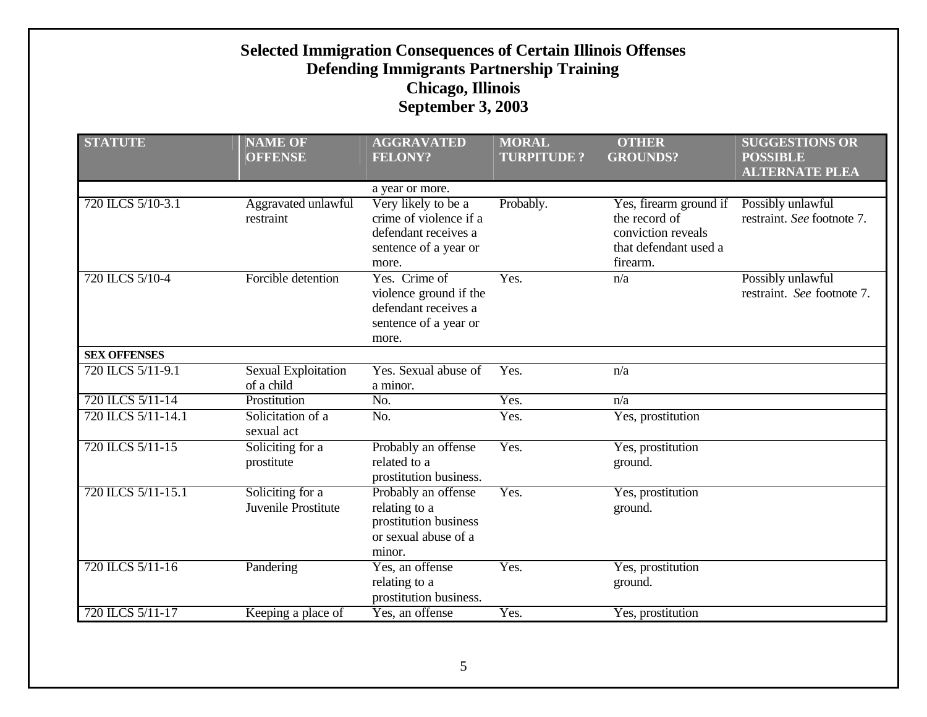| <b>STATUTE</b>      | <b>NAME OF</b><br><b>OFFENSE</b>         | <b>AGGRAVATED</b><br><b>FELONY?</b>                                                                     | <b>MORAL</b><br><b>TURPITUDE?</b> | <b>OTHER</b><br><b>GROUNDS?</b>                                                                    | <b>SUGGESTIONS OR</b><br><b>POSSIBLE</b>        |
|---------------------|------------------------------------------|---------------------------------------------------------------------------------------------------------|-----------------------------------|----------------------------------------------------------------------------------------------------|-------------------------------------------------|
|                     |                                          |                                                                                                         |                                   |                                                                                                    | <b>ALTERNATE PLEA</b>                           |
|                     |                                          | a year or more.                                                                                         |                                   |                                                                                                    |                                                 |
| 720 ILCS 5/10-3.1   | Aggravated unlawful<br>restraint         | Very likely to be a<br>crime of violence if a<br>defendant receives a<br>sentence of a year or<br>more. | Probably.                         | Yes, firearm ground if<br>the record of<br>conviction reveals<br>that defendant used a<br>firearm. | Possibly unlawful<br>restraint. See footnote 7. |
| 720 ILCS 5/10-4     | Forcible detention                       | Yes. Crime of<br>violence ground if the<br>defendant receives a<br>sentence of a year or<br>more.       | Yes.                              | n/a                                                                                                | Possibly unlawful<br>restraint. See footnote 7. |
| <b>SEX OFFENSES</b> |                                          |                                                                                                         |                                   |                                                                                                    |                                                 |
| 720 ILCS 5/11-9.1   | <b>Sexual Exploitation</b><br>of a child | Yes. Sexual abuse of<br>a minor.                                                                        | Yes.                              | n/a                                                                                                |                                                 |
| 720 ILCS 5/11-14    | Prostitution                             | No.                                                                                                     | Yes.                              | n/a                                                                                                |                                                 |
| 720 ILCS 5/11-14.1  | Solicitation of a<br>sexual act          | No.                                                                                                     | Yes.                              | Yes, prostitution                                                                                  |                                                 |
| 720 ILCS 5/11-15    | Soliciting for a<br>prostitute           | Probably an offense<br>related to a<br>prostitution business.                                           | Yes.                              | Yes, prostitution<br>ground.                                                                       |                                                 |
| 720 ILCS 5/11-15.1  | Soliciting for a<br>Juvenile Prostitute  | Probably an offense<br>relating to a<br>prostitution business<br>or sexual abuse of a<br>minor.         | Yes.                              | Yes, prostitution<br>ground.                                                                       |                                                 |
| 720 ILCS 5/11-16    | Pandering                                | Yes, an offense<br>relating to a<br>prostitution business.                                              | Yes.                              | Yes, prostitution<br>ground.                                                                       |                                                 |
| 720 ILCS 5/11-17    | Keeping a place of                       | Yes, an offense                                                                                         | Yes.                              | Yes, prostitution                                                                                  |                                                 |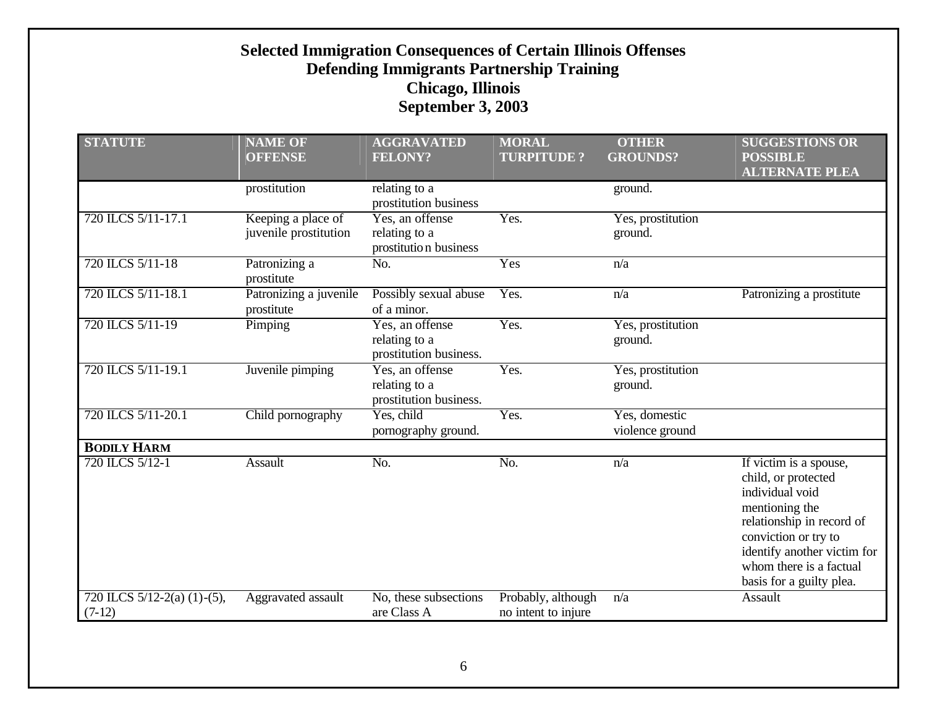| <b>STATUTE</b>                                | <b>NAME OF</b>                              | <b>AGGRAVATED</b>                                          | <b>MORAL</b>                              | <b>OTHER</b>                     | <b>SUGGESTIONS OR</b>                                                                                                                                                                                                         |
|-----------------------------------------------|---------------------------------------------|------------------------------------------------------------|-------------------------------------------|----------------------------------|-------------------------------------------------------------------------------------------------------------------------------------------------------------------------------------------------------------------------------|
|                                               | <b>OFFENSE</b>                              | <b>FELONY?</b>                                             | <b>TURPITUDE?</b>                         | <b>GROUNDS?</b>                  | <b>POSSIBLE</b><br><b>ALTERNATE PLEA</b>                                                                                                                                                                                      |
|                                               | prostitution                                | relating to a<br>prostitution business                     |                                           | ground.                          |                                                                                                                                                                                                                               |
| 720 ILCS 5/11-17.1                            | Keeping a place of<br>juvenile prostitution | Yes, an offense<br>relating to a<br>prostitution business  | Yes.                                      | Yes, prostitution<br>ground.     |                                                                                                                                                                                                                               |
| 720 ILCS 5/11-18                              | Patronizing a<br>prostitute                 | No.                                                        | Yes                                       | n/a                              |                                                                                                                                                                                                                               |
| 720 ILCS 5/11-18.1                            | Patronizing a juvenile<br>prostitute        | Possibly sexual abuse<br>of a minor.                       | Yes.                                      | n/a                              | Patronizing a prostitute                                                                                                                                                                                                      |
| 720 ILCS 5/11-19                              | Pimping                                     | Yes, an offense<br>relating to a<br>prostitution business. | Yes.                                      | Yes, prostitution<br>ground.     |                                                                                                                                                                                                                               |
| 720 ILCS 5/11-19.1                            | Juvenile pimping                            | Yes, an offense<br>relating to a<br>prostitution business. | Yes.                                      | Yes, prostitution<br>ground.     |                                                                                                                                                                                                                               |
| 720 ILCS 5/11-20.1                            | Child pornography                           | Yes, child<br>pornography ground.                          | Yes.                                      | Yes, domestic<br>violence ground |                                                                                                                                                                                                                               |
| <b>BODILY HARM</b>                            |                                             |                                                            |                                           |                                  |                                                                                                                                                                                                                               |
| 720 ILCS 5/12-1                               | Assault                                     | No.                                                        | No.                                       | n/a                              | If victim is a spouse,<br>child, or protected<br>individual void<br>mentioning the<br>relationship in record of<br>conviction or try to<br>identify another victim for<br>whom there is a factual<br>basis for a guilty plea. |
| 720 ILCS $5/12-2(a)$ (1) $-(5)$ ,<br>$(7-12)$ | Aggravated assault                          | No, these subsections<br>are Class A                       | Probably, although<br>no intent to injure | n/a                              | Assault                                                                                                                                                                                                                       |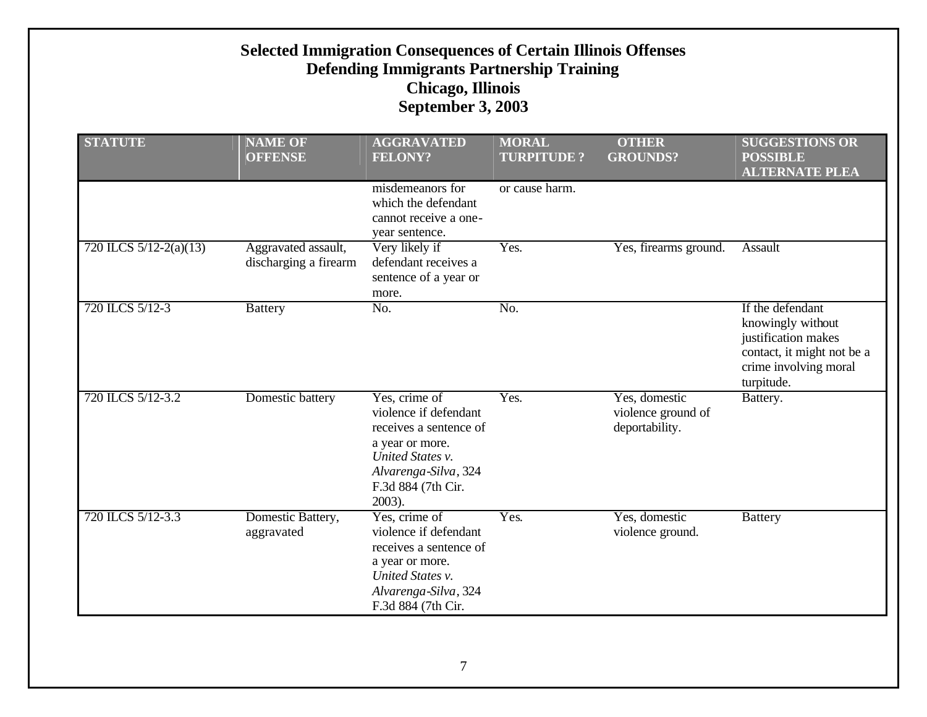| <b>Selected Immigration Consequences of Certain Illinois Offenses</b><br><b>Defending Immigrants Partnership Training</b><br><b>Chicago, Illinois</b><br><b>September 3, 2003</b> |                                              |                                                                                                                                                                    |                                   |                                                       |                                                                                                                                   |  |  |
|-----------------------------------------------------------------------------------------------------------------------------------------------------------------------------------|----------------------------------------------|--------------------------------------------------------------------------------------------------------------------------------------------------------------------|-----------------------------------|-------------------------------------------------------|-----------------------------------------------------------------------------------------------------------------------------------|--|--|
| <b>STATUTE</b>                                                                                                                                                                    | <b>NAME OF</b><br><b>OFFENSE</b>             | <b>AGGRAVATED</b><br><b>FELONY?</b>                                                                                                                                | <b>MORAL</b><br><b>TURPITUDE?</b> | <b>OTHER</b><br><b>GROUNDS?</b>                       | <b>SUGGESTIONS OR</b><br><b>POSSIBLE</b><br><b>ALTERNATE PLEA</b>                                                                 |  |  |
|                                                                                                                                                                                   |                                              | misdemeanors for<br>which the defendant<br>cannot receive a one-<br>year sentence.                                                                                 | or cause harm.                    |                                                       |                                                                                                                                   |  |  |
| 720 ILCS $5/12-2(a)(13)$                                                                                                                                                          | Aggravated assault,<br>discharging a firearm | Very likely if<br>defendant receives a<br>sentence of a year or<br>more.                                                                                           | Yes.                              | Yes, firearms ground.                                 | Assault                                                                                                                           |  |  |
| 720 ILCS 5/12-3                                                                                                                                                                   | <b>Battery</b>                               | No.                                                                                                                                                                | No.                               |                                                       | If the defendant<br>knowingly without<br>justification makes<br>contact, it might not be a<br>crime involving moral<br>turpitude. |  |  |
| 720 ILCS 5/12-3.2                                                                                                                                                                 | Domestic battery                             | Yes, crime of<br>violence if defendant<br>receives a sentence of<br>a year or more.<br>United States v.<br>Alvarenga-Silva, 324<br>F.3d 884 (7th Cir.<br>$2003$ ). | Yes.                              | Yes, domestic<br>violence ground of<br>deportability. | Battery.                                                                                                                          |  |  |
| 720 ILCS 5/12-3.3                                                                                                                                                                 | Domestic Battery,<br>aggravated              | Yes, crime of<br>violence if defendant<br>receives a sentence of<br>a year or more.<br>United States v.<br>Alvarenga-Silva, 324<br>F.3d 884 (7th Cir.              | Yes.                              | Yes, domestic<br>violence ground.                     | <b>Battery</b>                                                                                                                    |  |  |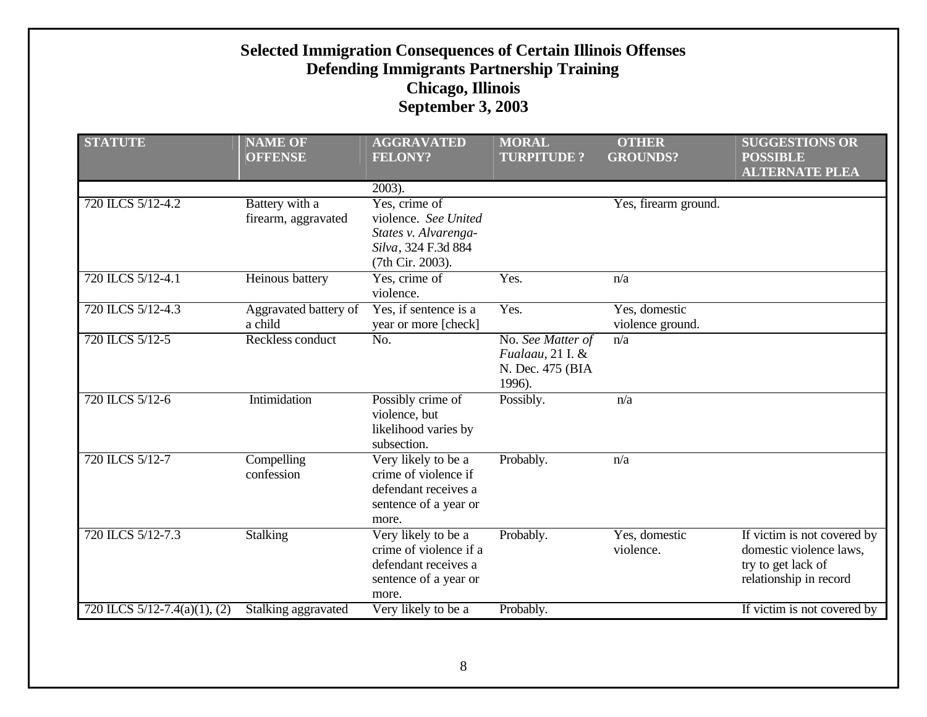#### **Selected Immigration Consequences of Certain Illinois Offenses Defending Immigrants Partnership Training Chicago, Illinois September 3, 2003 STATUTE NAME OF OFFENSE AGGRAVATED FELONY? MORAL TURPITUDE ? OTHER PROUNDS SUGGESTIONS OR POSSIBLE ALTERNATE PLEA** 2003). firearm, aggravated Yes, crime of violence. *See United States v. Alvarenga-*Yes, firearm ground.

|                                   | ש נסו מש ש ש נ                        | TELUM I :                                                                                                | TUNITIODE :                                                         | <b>UINUUITIDI.</b>                | 1 ODDIDLE<br><b>ALTERNATE PLEA</b>                                                                     |
|-----------------------------------|---------------------------------------|----------------------------------------------------------------------------------------------------------|---------------------------------------------------------------------|-----------------------------------|--------------------------------------------------------------------------------------------------------|
|                                   |                                       | $2003$ ).                                                                                                |                                                                     |                                   |                                                                                                        |
| 720 ILCS 5/12-4.2                 | Battery with a<br>firearm, aggravated | Yes, crime of<br>violence. See United<br>States v. Alvarenga-<br>Silva, 324 F.3d 884<br>(7th Cir. 2003). |                                                                     | Yes, firearm ground.              |                                                                                                        |
| 720 ILCS 5/12-4.1                 | Heinous battery                       | Yes, crime of<br>violence.                                                                               | Yes.                                                                | n/a                               |                                                                                                        |
| 720 ILCS 5/12-4.3                 | Aggravated battery of<br>a child      | Yes, if sentence is a<br>year or more [check]                                                            | Yes.                                                                | Yes, domestic<br>violence ground. |                                                                                                        |
| 720 ILCS 5/12-5                   | Reckless conduct                      | $\overline{No}$ .                                                                                        | No. See Matter of<br>Fualaau, 21 I. &<br>N. Dec. 475 (BIA<br>1996). | n/a                               |                                                                                                        |
| 720 ILCS 5/12-6                   | Intimidation                          | Possibly crime of<br>violence, but<br>likelihood varies by<br>subsection.                                | Possibly.                                                           | n/a                               |                                                                                                        |
| 720 ILCS 5/12-7                   | Compelling<br>confession              | Very likely to be a<br>crime of violence if<br>defendant receives a<br>sentence of a year or<br>more.    | Probably.                                                           | n/a                               |                                                                                                        |
| 720 ILCS 5/12-7.3                 | <b>Stalking</b>                       | Very likely to be a<br>crime of violence if a<br>defendant receives a<br>sentence of a year or<br>more.  | Probably.                                                           | Yes, domestic<br>violence.        | If victim is not covered by<br>domestic violence laws,<br>try to get lack of<br>relationship in record |
| 720 ILCS $5/12 - 7.4(a)(1)$ , (2) | Stalking aggravated                   | Very likely to be a                                                                                      | Probably.                                                           |                                   | If victim is not covered by                                                                            |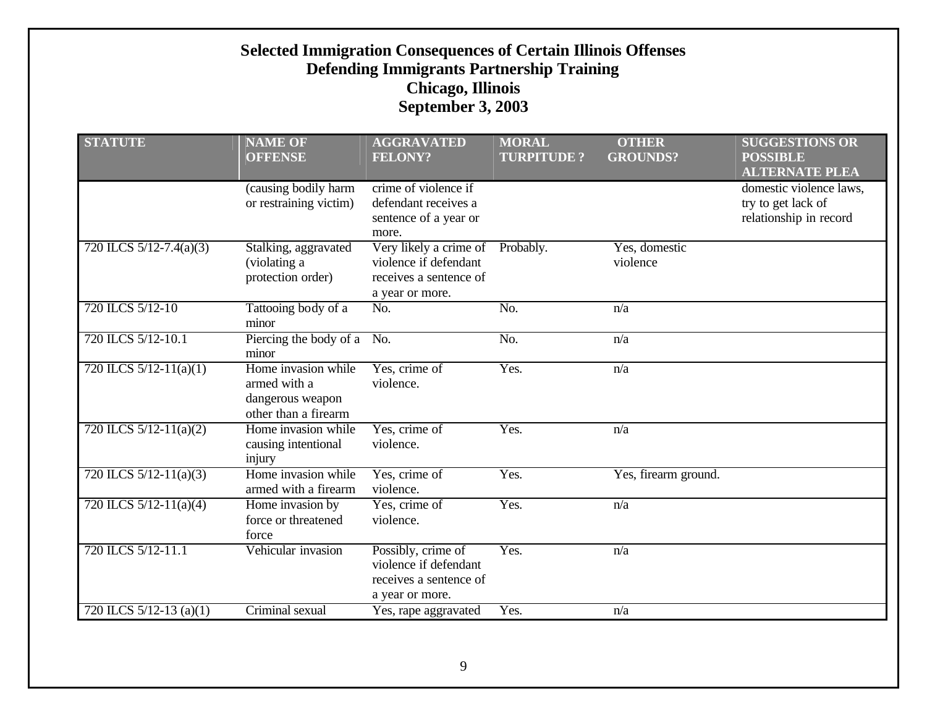| <b>STATUTE</b>              | <b>NAME OF</b><br><b>OFFENSE</b>                                                | <b>AGGRAVATED</b><br><b>FELONY?</b>                                                          | <b>MORAL</b><br><b>TURPITUDE?</b> | <b>OTHER</b><br><b>GROUNDS?</b> | <b>SUGGESTIONS OR</b><br><b>POSSIBLE</b><br><b>ALTERNATE PLEA</b>       |
|-----------------------------|---------------------------------------------------------------------------------|----------------------------------------------------------------------------------------------|-----------------------------------|---------------------------------|-------------------------------------------------------------------------|
|                             | (causing bodily harm<br>or restraining victim)                                  | crime of violence if<br>defendant receives a<br>sentence of a year or<br>more.               |                                   |                                 | domestic violence laws,<br>try to get lack of<br>relationship in record |
| 720 ILCS $5/12 - 7.4(a)(3)$ | Stalking, aggravated<br>(violating a<br>protection order)                       | Very likely a crime of<br>violence if defendant<br>receives a sentence of<br>a year or more. | Probably.                         | Yes, domestic<br>violence       |                                                                         |
| 720 ILCS 5/12-10            | Tattooing body of a<br>minor                                                    | No.                                                                                          | No.                               | n/a                             |                                                                         |
| 720 ILCS 5/12-10.1          | Piercing the body of a No.<br>minor                                             |                                                                                              | No.                               | n/a                             |                                                                         |
| 720 ILCS $5/12-11(a)(1)$    | Home invasion while<br>armed with a<br>dangerous weapon<br>other than a firearm | Yes, crime of<br>violence.                                                                   | Yes.                              | n/a                             |                                                                         |
| 720 ILCS $5/12-11(a)(2)$    | Home invasion while<br>causing intentional<br>injury                            | Yes, crime of<br>violence.                                                                   | Yes.                              | n/a                             |                                                                         |
| 720 ILCS $5/12-11(a)(3)$    | Home invasion while<br>armed with a firearm                                     | Yes, crime of<br>violence.                                                                   | Yes.                              | Yes, firearm ground.            |                                                                         |
| 720 ILCS $5/12-11(a)(4)$    | Home invasion by<br>force or threatened<br>force                                | Yes, crime of<br>violence.                                                                   | Yes.                              | n/a                             |                                                                         |
| 720 ILCS 5/12-11.1          | Vehicular invasion                                                              | Possibly, crime of<br>violence if defendant<br>receives a sentence of<br>a year or more.     | Yes.                              | n/a                             |                                                                         |
| 720 ILCS $5/12-13$ (a)(1)   | Criminal sexual                                                                 | Yes, rape aggravated                                                                         | Yes.                              | n/a                             |                                                                         |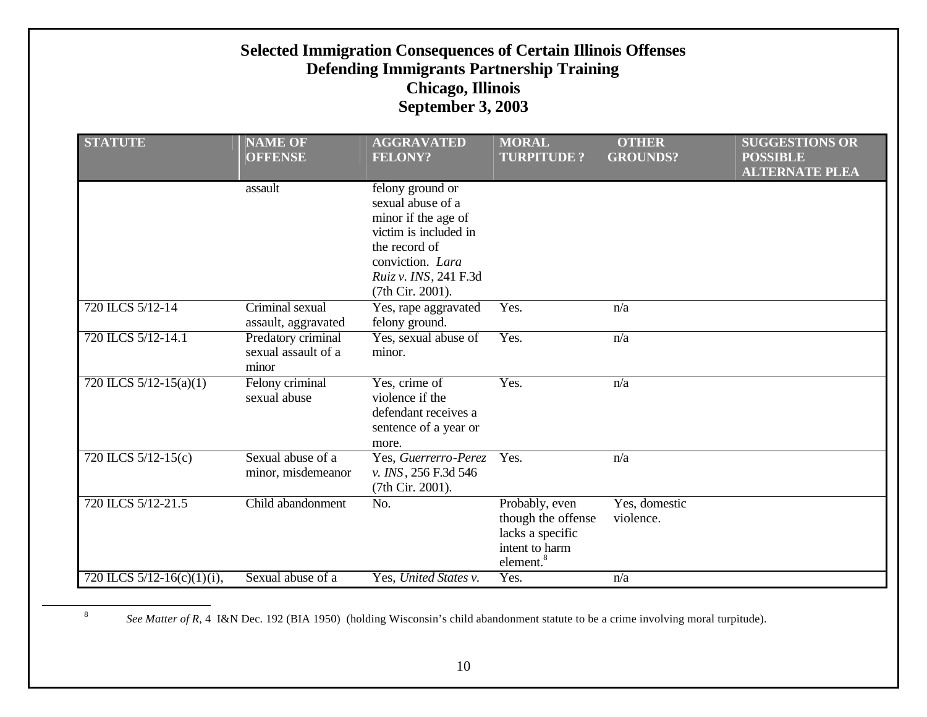| <b>Selected Immigration Consequences of Certain Illinois Offenses</b><br><b>Defending Immigrants Partnership Training</b><br><b>Chicago, Illinois</b><br>September 3, 2003 |                                                    |                                                                                                                                                                         |                                                                                                     |                                 |                                                                   |  |  |  |
|----------------------------------------------------------------------------------------------------------------------------------------------------------------------------|----------------------------------------------------|-------------------------------------------------------------------------------------------------------------------------------------------------------------------------|-----------------------------------------------------------------------------------------------------|---------------------------------|-------------------------------------------------------------------|--|--|--|
| <b>STATUTE</b>                                                                                                                                                             | <b>NAME OF</b><br><b>OFFENSE</b>                   | <b>AGGRAVATED</b><br><b>FELONY?</b>                                                                                                                                     | <b>MORAL</b><br><b>TURPITUDE ?</b>                                                                  | <b>OTHER</b><br><b>GROUNDS?</b> | <b>SUGGESTIONS OR</b><br><b>POSSIBLE</b><br><b>ALTERNATE PLEA</b> |  |  |  |
|                                                                                                                                                                            | assault                                            | felony ground or<br>sexual abuse of a<br>minor if the age of<br>victim is included in<br>the record of<br>conviction. Lara<br>Ruiz v. INS, 241 F.3d<br>(7th Cir. 2001). |                                                                                                     |                                 |                                                                   |  |  |  |
| 720 ILCS 5/12-14                                                                                                                                                           | Criminal sexual<br>assault, aggravated             | Yes, rape aggravated<br>felony ground.                                                                                                                                  | Yes.                                                                                                | n/a                             |                                                                   |  |  |  |
| 720 ILCS 5/12-14.1                                                                                                                                                         | Predatory criminal<br>sexual assault of a<br>minor | Yes, sexual abuse of<br>minor.                                                                                                                                          | Yes.                                                                                                | n/a                             |                                                                   |  |  |  |
| 720 ILCS $5/12 - 15(a)(1)$                                                                                                                                                 | Felony criminal<br>sexual abuse                    | Yes, crime of<br>violence if the<br>defendant receives a<br>sentence of a year or<br>more.                                                                              | Yes.                                                                                                | n/a                             |                                                                   |  |  |  |
| 720 ILCS 5/12-15(c)                                                                                                                                                        | Sexual abuse of a<br>minor, misdemeanor            | Yes, Guerrerro-Perez<br>v. INS, 256 F.3d 546<br>(7th Cir. 2001).                                                                                                        | Yes.                                                                                                | n/a                             |                                                                   |  |  |  |
| 720 ILCS 5/12-21.5                                                                                                                                                         | Child abandonment                                  | No.                                                                                                                                                                     | Probably, even<br>though the offense<br>lacks a specific<br>intent to harm<br>element. <sup>8</sup> | Yes, domestic<br>violence.      |                                                                   |  |  |  |
| 720 ILCS 5/12-16(c)(1)(i),                                                                                                                                                 | Sexual abuse of a                                  | Yes, United States v.                                                                                                                                                   | Yes.                                                                                                | n/a                             |                                                                   |  |  |  |

*See Matter of R*, 4 I&N Dec. 192 (BIA 1950) (holding Wisconsin's child abandonment statute to be a crime involving moral turpitude).

 $\overline{a}$ 

8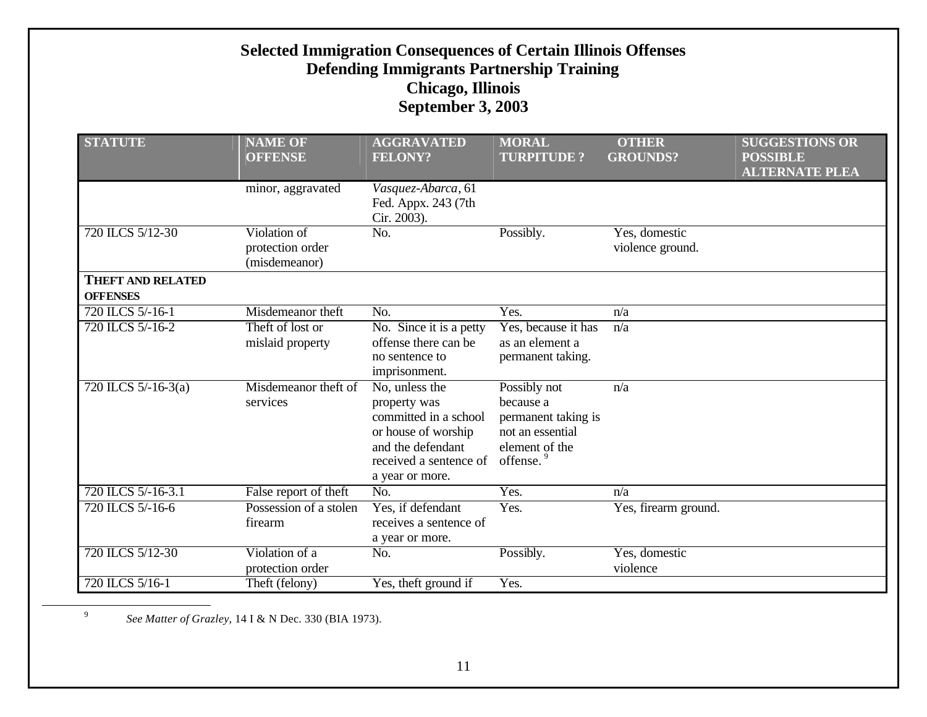| <b>STATUTE</b>                              | <b>NAME OF</b><br><b>OFFENSE</b>                  | <b>AGGRAVATED</b><br><b>FELONY?</b>                                                                                                              | <b>MORAL</b><br><b>TURPITUDE?</b>                                                                               | <b>OTHER</b><br><b>GROUNDS?</b>   | <b>SUGGESTIONS OR</b><br><b>POSSIBLE</b><br><b>ALTERNATE PLEA</b> |
|---------------------------------------------|---------------------------------------------------|--------------------------------------------------------------------------------------------------------------------------------------------------|-----------------------------------------------------------------------------------------------------------------|-----------------------------------|-------------------------------------------------------------------|
|                                             | minor, aggravated                                 | Vasquez-Abarca, 61<br>Fed. Appx. 243 (7th<br>Cir. 2003).                                                                                         |                                                                                                                 |                                   |                                                                   |
| 720 ILCS 5/12-30                            | Violation of<br>protection order<br>(misdemeanor) | No.                                                                                                                                              | Possibly.                                                                                                       | Yes, domestic<br>violence ground. |                                                                   |
| <b>THEFT AND RELATED</b><br><b>OFFENSES</b> |                                                   |                                                                                                                                                  |                                                                                                                 |                                   |                                                                   |
| 720 ILCS 5/-16-1                            | Misdemeanor theft                                 | No.                                                                                                                                              | Yes.                                                                                                            | n/a                               |                                                                   |
| 720 ILCS 5/-16-2                            | Theft of lost or<br>mislaid property              | No. Since it is a petty<br>offense there can be<br>no sentence to<br>imprisonment.                                                               | Yes, because it has<br>as an element a<br>permanent taking.                                                     | n/a                               |                                                                   |
| 720 ILCS $5/-16-3(a)$                       | Misdemeanor theft of<br>services                  | No, unless the<br>property was<br>committed in a school<br>or house of worship<br>and the defendant<br>received a sentence of<br>a year or more. | Possibly not<br>because a<br>permanent taking is<br>not an essential<br>element of the<br>offense. <sup>9</sup> | n/a                               |                                                                   |
| 720 ILCS 5/-16-3.1                          | False report of theft                             | No.                                                                                                                                              | Yes.                                                                                                            | n/a                               |                                                                   |
| 720 ILCS 5/-16-6                            | Possession of a stolen<br>firearm                 | Yes, if defendant<br>receives a sentence of<br>a year or more.                                                                                   | Yes.                                                                                                            | Yes, firearm ground.              |                                                                   |
| 720 ILCS 5/12-30                            | Violation of a<br>protection order                | No.                                                                                                                                              | Possibly.                                                                                                       | Yes, domestic<br>violence         |                                                                   |
| 720 ILCS 5/16-1                             | Theft (felony)                                    | Yes, theft ground if                                                                                                                             | Yes.                                                                                                            |                                   |                                                                   |

*See Matter of Grazley*, 14 I & N Dec. 330 (BIA 1973).

 $\overline{a}$ 

9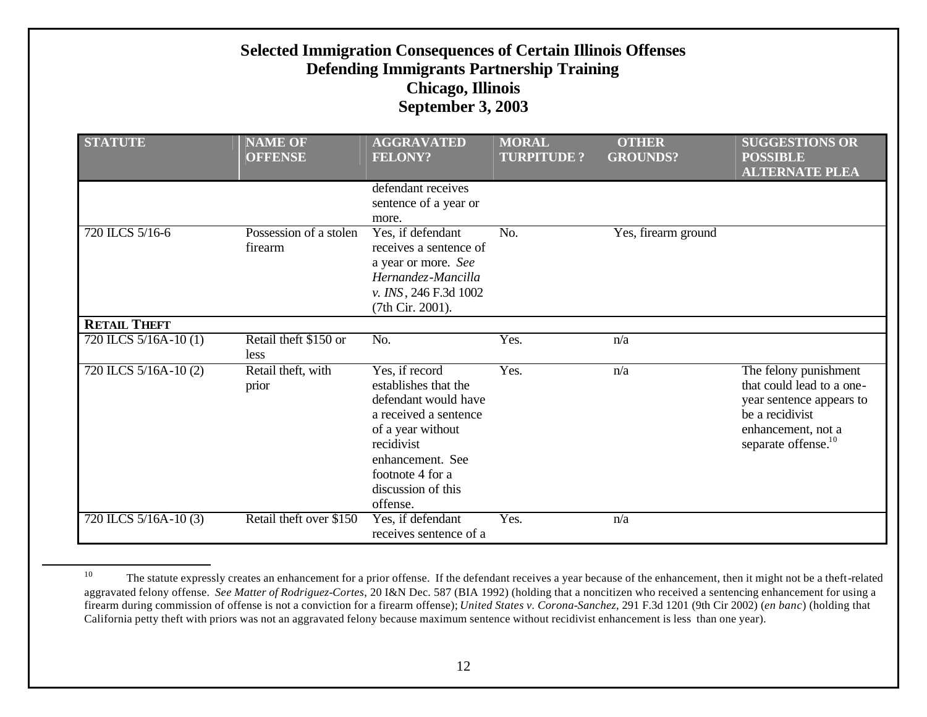| <b>STATUTE</b>        | <b>NAME OF</b><br><b>OFFENSE</b>  | <b>AGGRAVATED</b><br><b>FELONY?</b>                                                                                                                                                                  | <b>MORAL</b><br><b>TURPITUDE?</b> | <b>OTHER</b><br><b>GROUNDS?</b> | <b>SUGGESTIONS OR</b><br><b>POSSIBLE</b><br><b>ALTERNATE PLEA</b>                                                                                          |
|-----------------------|-----------------------------------|------------------------------------------------------------------------------------------------------------------------------------------------------------------------------------------------------|-----------------------------------|---------------------------------|------------------------------------------------------------------------------------------------------------------------------------------------------------|
|                       |                                   | defendant receives<br>sentence of a year or<br>more.                                                                                                                                                 |                                   |                                 |                                                                                                                                                            |
| 720 ILCS 5/16-6       | Possession of a stolen<br>firearm | Yes, if defendant<br>receives a sentence of<br>a year or more. See<br>Hernandez-Mancilla<br>v. INS, 246 F.3d 1002<br>(7th Cir. 2001).                                                                | No.                               | Yes, firearm ground             |                                                                                                                                                            |
| <b>RETAIL THEFT</b>   |                                   |                                                                                                                                                                                                      |                                   |                                 |                                                                                                                                                            |
| 720 ILCS 5/16A-10 (1) | Retail theft \$150 or<br>less     | No.                                                                                                                                                                                                  | Yes.                              | n/a                             |                                                                                                                                                            |
| 720 ILCS 5/16A-10 (2) | Retail theft, with<br>prior       | Yes, if record<br>establishes that the<br>defendant would have<br>a received a sentence<br>of a year without<br>recidivist<br>enhancement. See<br>footnote 4 for a<br>discussion of this<br>offense. | Yes.                              | n/a                             | The felony punishment<br>that could lead to a one-<br>year sentence appears to<br>be a recidivist<br>enhancement, not a<br>separate offense. <sup>10</sup> |
| 720 ILCS 5/16A-10 (3) | Retail theft over \$150           | Yes, if defendant<br>receives sentence of a                                                                                                                                                          | Yes.                              | n/a                             |                                                                                                                                                            |

<sup>10</sup> The statute expressly creates an enhancement for a prior offense. If the defendant receives a year because of the enhancement, then it might not be a theft-related aggravated felony offense. *See Matter of Rodriguez-Cortes*, 20 I&N Dec. 587 (BIA 1992) (holding that a noncitizen who received a sentencing enhancement for using a firearm during commission of offense is not a conviction for a firearm offense); *United States v. Corona-Sanchez*, 291 F.3d 1201 (9th Cir 2002) (*en banc*) (holding that California petty theft with priors was not an aggravated felony because maximum sentence without recidivist enhancement is less than one year).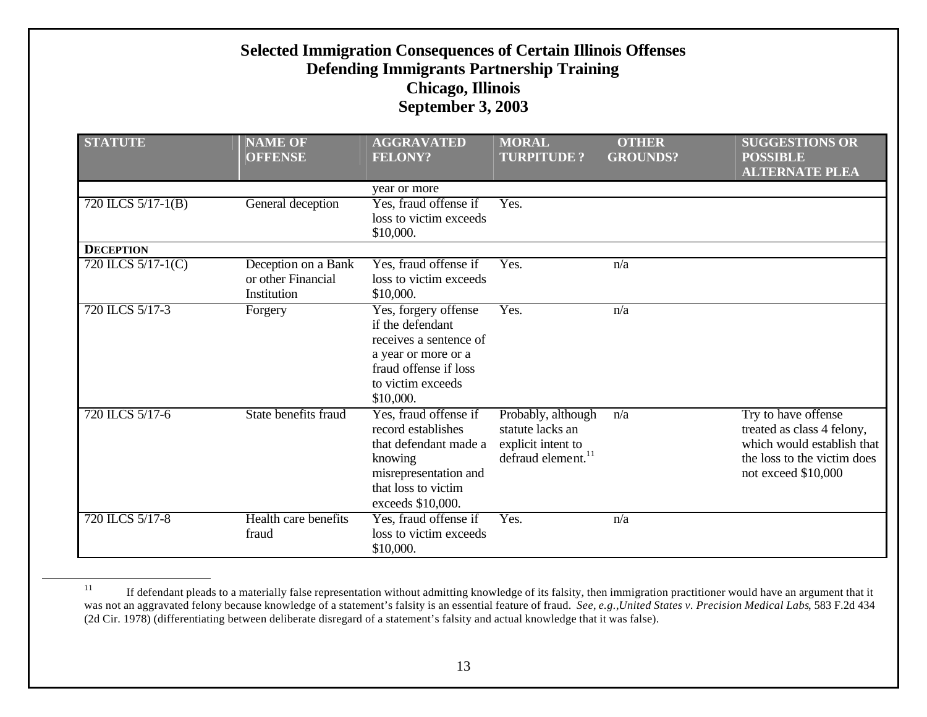| <b>STATUTE</b>     | <b>NAME OF</b><br><b>OFFENSE</b>                         | <b>AGGRAVATED</b><br><b>FELONY?</b>                                                                                                                  | <b>MORAL</b><br><b>TURPITUDE?</b>                                                              | <b>OTHER</b><br><b>GROUNDS?</b> | <b>SUGGESTIONS OR</b><br><b>POSSIBLE</b><br><b>ALTERNATE PLEA</b>                                                                      |
|--------------------|----------------------------------------------------------|------------------------------------------------------------------------------------------------------------------------------------------------------|------------------------------------------------------------------------------------------------|---------------------------------|----------------------------------------------------------------------------------------------------------------------------------------|
|                    |                                                          | year or more                                                                                                                                         |                                                                                                |                                 |                                                                                                                                        |
| 720 ILCS 5/17-1(B) | General deception                                        | Yes, fraud offense if<br>loss to victim exceeds<br>\$10,000.                                                                                         | Yes.                                                                                           |                                 |                                                                                                                                        |
| <b>DECEPTION</b>   |                                                          |                                                                                                                                                      |                                                                                                |                                 |                                                                                                                                        |
| 720 ILCS 5/17-1(C) | Deception on a Bank<br>or other Financial<br>Institution | Yes, fraud offense if<br>loss to victim exceeds<br>\$10,000.                                                                                         | Yes.                                                                                           | n/a                             |                                                                                                                                        |
| 720 ILCS 5/17-3    | Forgery                                                  | Yes, forgery offense<br>if the defendant<br>receives a sentence of<br>a year or more or a<br>fraud offense if loss<br>to victim exceeds<br>\$10,000. | Yes.                                                                                           | n/a                             |                                                                                                                                        |
| 720 ILCS 5/17-6    | State benefits fraud                                     | Yes, fraud offense if<br>record establishes<br>that defendant made a<br>knowing<br>misrepresentation and<br>that loss to victim<br>exceeds \$10,000. | Probably, although<br>statute lacks an<br>explicit intent to<br>defraud element. <sup>11</sup> | n/a                             | Try to have offense<br>treated as class 4 felony,<br>which would establish that<br>the loss to the victim does<br>not exceed $$10,000$ |
| 720 ILCS 5/17-8    | Health care benefits<br>fraud                            | Yes, fraud offense if<br>loss to victim exceeds<br>\$10,000.                                                                                         | Yes.                                                                                           | n/a                             |                                                                                                                                        |

<sup>11</sup> If defendant pleads to a materially false representation without admitting knowledge of its falsity, then immigration practitioner would have an argument that it was not an aggravated felony because knowledge of a statement's falsity is an essential feature of fraud. *See*, *e.g.*,*United States v. Precision Medical Labs*, 583 F.2d 434 (2d Cir. 1978) (differentiating between deliberate disregard of a statement's falsity and actual knowledge that it was false).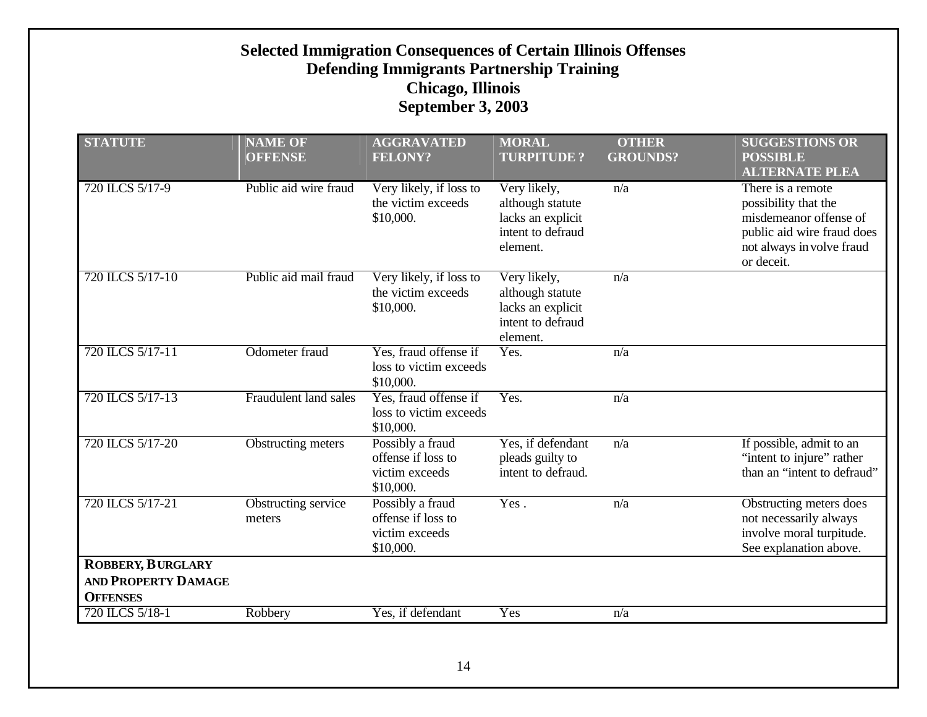| <b>STATUTE</b>                                         | <b>NAME OF</b><br><b>OFFENSE</b> | <b>AGGRAVATED</b><br><b>FELONY?</b>                                   | <b>MORAL</b><br><b>TURPITUDE?</b>                                                      | <b>OTHER</b><br><b>GROUNDS?</b> | <b>SUGGESTIONS OR</b><br><b>POSSIBLE</b><br><b>ALTERNATE PLEA</b>                                                                            |
|--------------------------------------------------------|----------------------------------|-----------------------------------------------------------------------|----------------------------------------------------------------------------------------|---------------------------------|----------------------------------------------------------------------------------------------------------------------------------------------|
| 720 ILCS 5/17-9                                        | Public aid wire fraud            | Very likely, if loss to<br>the victim exceeds<br>\$10,000.            | Very likely,<br>although statute<br>lacks an explicit<br>intent to defraud<br>element. | n/a                             | There is a remote<br>possibility that the<br>misdemeanor offense of<br>public aid wire fraud does<br>not always in volve fraud<br>or deceit. |
| 720 ILCS 5/17-10                                       | Public aid mail fraud            | Very likely, if loss to<br>the victim exceeds<br>\$10,000.            | Very likely,<br>although statute<br>lacks an explicit<br>intent to defraud<br>element. | n/a                             |                                                                                                                                              |
| 720 ILCS 5/17-11                                       | Odometer fraud                   | Yes, fraud offense if<br>loss to victim exceeds<br>\$10,000.          | Yes.<br>n/a                                                                            |                                 |                                                                                                                                              |
| 720 ILCS 5/17-13                                       | Fraudulent land sales            | Yes, fraud offense if<br>loss to victim exceeds<br>\$10,000.          | Yes.                                                                                   | n/a                             |                                                                                                                                              |
| 720 ILCS 5/17-20                                       | <b>Obstructing meters</b>        | Possibly a fraud<br>offense if loss to<br>victim exceeds<br>\$10,000. | Yes, if defendant<br>pleads guilty to<br>intent to defraud.                            | n/a                             | If possible, admit to an<br>"intent to injure" rather<br>than an "intent to defraud"                                                         |
| 720 ILCS 5/17-21                                       | Obstructing service<br>meters    | Possibly a fraud<br>offense if loss to<br>victim exceeds<br>\$10,000. | Yes.                                                                                   | n/a                             | Obstructing meters does<br>not necessarily always<br>involve moral turpitude.<br>See explanation above.                                      |
| <b>ROBBERY, BURGLARY</b><br><b>AND PROPERTY DAMAGE</b> |                                  |                                                                       |                                                                                        |                                 |                                                                                                                                              |
| <b>OFFENSES</b>                                        |                                  |                                                                       |                                                                                        |                                 |                                                                                                                                              |
| 720 ILCS 5/18-1                                        | Robbery                          | Yes, if defendant                                                     | Yes                                                                                    | n/a                             |                                                                                                                                              |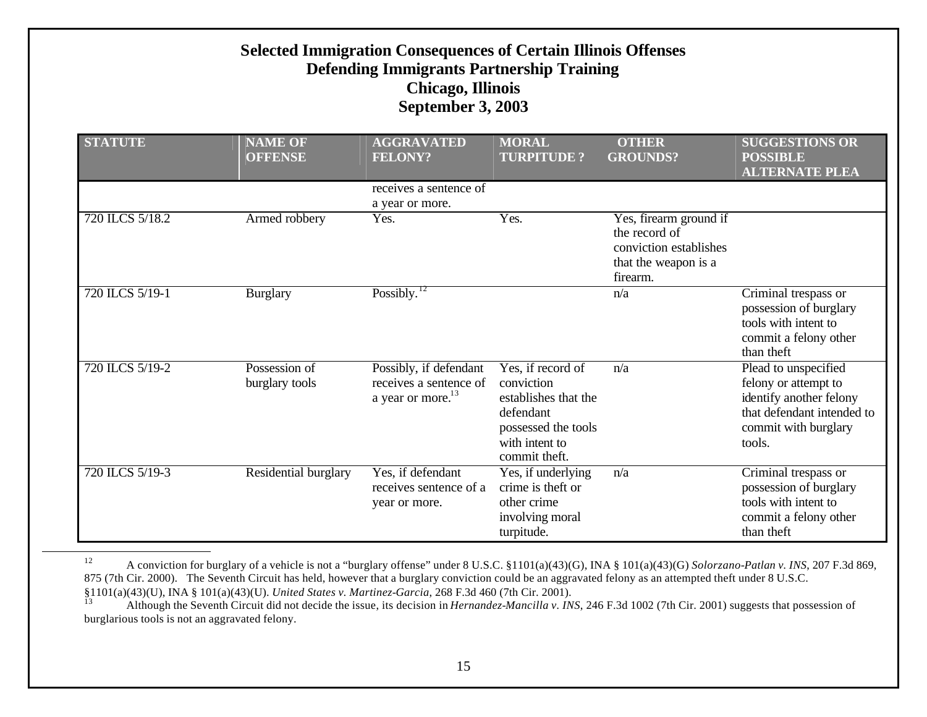| <b>STATUTE</b>  | <b>NAME OF</b><br><b>OFFENSE</b> | <b>AGGRAVATED</b><br><b>FELONY?</b>                                               | <b>MORAL</b><br><b>TURPITUDE?</b>                                                                                              | <b>OTHER</b><br><b>GROUNDS?</b>                                                                       | <b>SUGGESTIONS OR</b><br><b>POSSIBLE</b><br><b>ALTERNATE PLEA</b>                                                                       |
|-----------------|----------------------------------|-----------------------------------------------------------------------------------|--------------------------------------------------------------------------------------------------------------------------------|-------------------------------------------------------------------------------------------------------|-----------------------------------------------------------------------------------------------------------------------------------------|
|                 |                                  | receives a sentence of<br>a year or more.                                         |                                                                                                                                |                                                                                                       |                                                                                                                                         |
| 720 ILCS 5/18.2 | Armed robbery                    | Yes.                                                                              | Yes.                                                                                                                           | Yes, firearm ground if<br>the record of<br>conviction establishes<br>that the weapon is a<br>firearm. |                                                                                                                                         |
| 720 ILCS 5/19-1 | <b>Burglary</b>                  | Possibly. $12$                                                                    |                                                                                                                                | n/a                                                                                                   | Criminal trespass or<br>possession of burglary<br>tools with intent to<br>commit a felony other<br>than theft                           |
| 720 ILCS 5/19-2 | Possession of<br>burglary tools  | Possibly, if defendant<br>receives a sentence of<br>a year or more. <sup>13</sup> | Yes, if record of<br>conviction<br>establishes that the<br>defendant<br>possessed the tools<br>with intent to<br>commit theft. | n/a                                                                                                   | Plead to unspecified<br>felony or attempt to<br>identify another felony<br>that defendant intended to<br>commit with burglary<br>tools. |
| 720 ILCS 5/19-3 | Residential burglary             | Yes, if defendant<br>receives sentence of a<br>year or more.                      | Yes, if underlying<br>crime is theft or<br>other crime<br>involving moral<br>turpitude.                                        | n/a                                                                                                   | Criminal trespass or<br>possession of burglary<br>tools with intent to<br>commit a felony other<br>than theft                           |

<sup>12</sup> A conviction for burglary of a vehicle is not a "burglary offense" under 8 U.S.C. §1101(a)(43)(G), INA § 101(a)(43)(G) *Solorzano-Patlan v. INS*, 207 F.3d 869, 875 (7th Cir. 2000). The Seventh Circuit has held, however that a burglary conviction could be an aggravated felony as an attempted theft under 8 U.S.C. §1101(a)(43)(U), INA § 101(a)(43)(U). *United States v. Martinez-Garcia*, 268 F.3d 460 (7th Cir. 2001).

<sup>13</sup> Although the Seventh Circuit did not decide the issue, its decision in *Hernandez-Mancilla v. INS*, 246 F.3d 1002 (7th Cir. 2001) suggests that possession of burglarious tools is not an aggravated felony.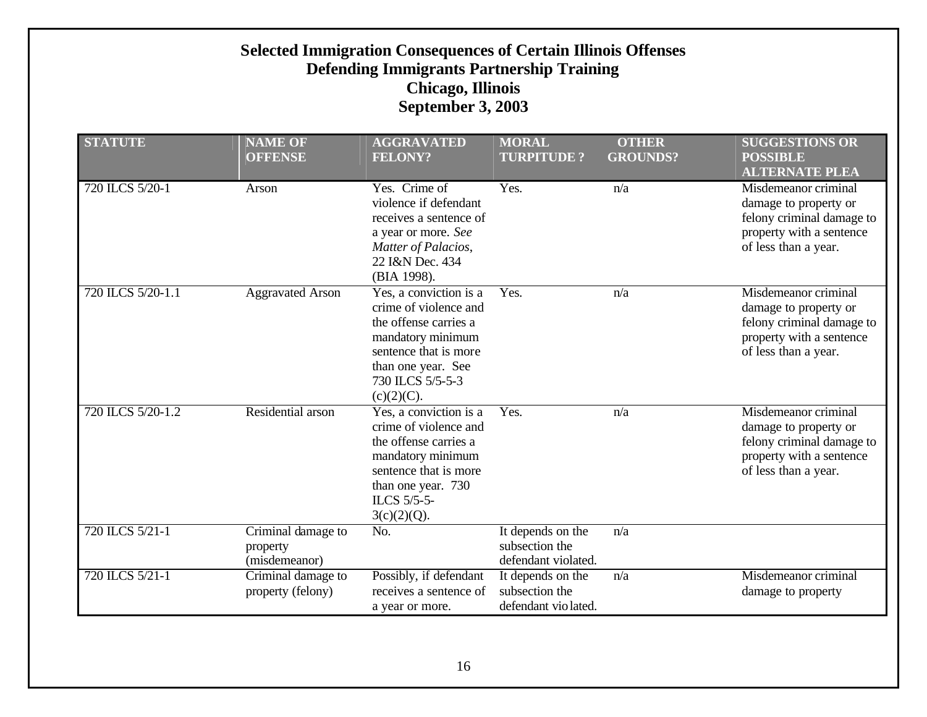| <b>STATUTE</b>    | <b>NAME OF</b><br><b>OFFENSE</b>                | <b>AGGRAVATED</b><br><b>FELONY?</b>                                                                                                                                               | <b>MORAL</b><br><b>TURPITUDE?</b>                           | <b>OTHER</b><br><b>GROUNDS?</b> | <b>SUGGESTIONS OR</b><br><b>POSSIBLE</b><br><b>ALTERNATE PLEA</b>                                                              |
|-------------------|-------------------------------------------------|-----------------------------------------------------------------------------------------------------------------------------------------------------------------------------------|-------------------------------------------------------------|---------------------------------|--------------------------------------------------------------------------------------------------------------------------------|
| 720 ILCS 5/20-1   | Arson                                           | Yes. Crime of<br>violence if defendant<br>receives a sentence of<br>a year or more. See<br>Matter of Palacios,<br>22 I&N Dec. 434<br>(BIA 1998).                                  | Yes.                                                        | n/a                             | Misdemeanor criminal<br>damage to property or<br>felony criminal damage to<br>property with a sentence<br>of less than a year. |
| 720 ILCS 5/20-1.1 | <b>Aggravated Arson</b>                         | Yes, a conviction is a<br>crime of violence and<br>the offense carries a<br>mandatory minimum<br>sentence that is more<br>than one year. See<br>730 ILCS 5/5-5-3<br>$(c)(2)(C)$ . | Yes.                                                        | n/a                             | Misdemeanor criminal<br>damage to property or<br>felony criminal damage to<br>property with a sentence<br>of less than a year. |
| 720 ILCS 5/20-1.2 | Residential arson                               | Yes, a conviction is a<br>crime of violence and<br>the offense carries a<br>mandatory minimum<br>sentence that is more<br>than one year. 730<br>ILCS 5/5-5-<br>$3(c)(2)(Q)$ .     | Yes.                                                        | n/a                             | Misdemeanor criminal<br>damage to property or<br>felony criminal damage to<br>property with a sentence<br>of less than a year. |
| 720 ILCS 5/21-1   | Criminal damage to<br>property<br>(misdemeanor) | No.                                                                                                                                                                               | It depends on the<br>subsection the<br>defendant violated.  | n/a                             |                                                                                                                                |
| 720 ILCS 5/21-1   | Criminal damage to<br>property (felony)         | Possibly, if defendant<br>receives a sentence of<br>a year or more.                                                                                                               | It depends on the<br>subsection the<br>defendant vio lated. | n/a                             | Misdemeanor criminal<br>damage to property                                                                                     |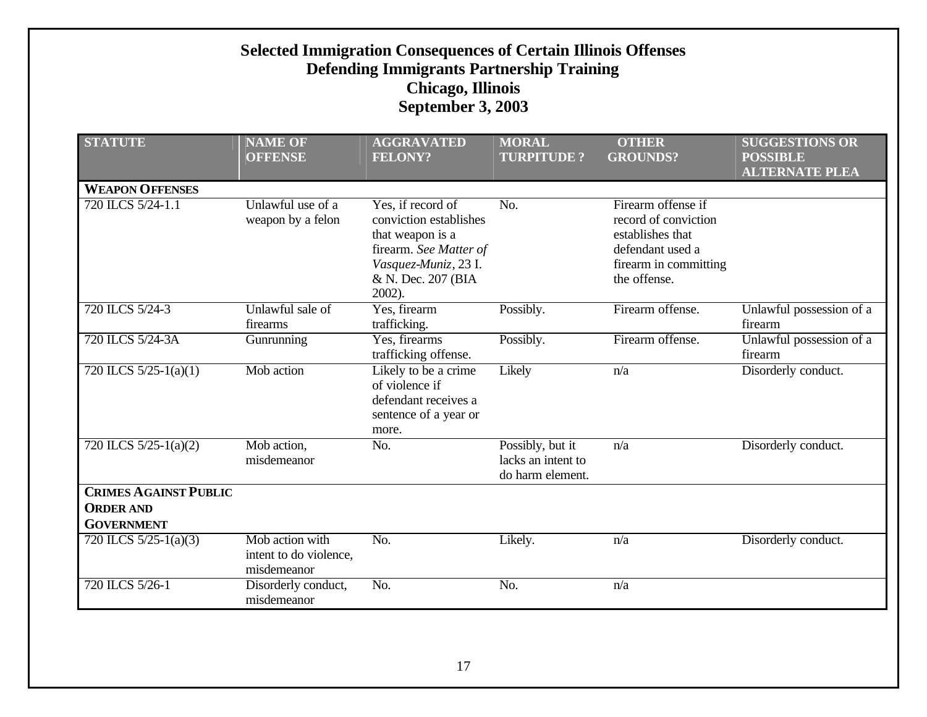| <b>Selected Immigration Consequences of Certain Illinois Offenses</b><br><b>Defending Immigrants Partnership Training</b><br><b>Chicago, Illinois</b><br><b>September 3, 2003</b> |                                                                                                                |                                                                                                                                                   |                                                            |                                                                                                                             |                                                                   |  |
|-----------------------------------------------------------------------------------------------------------------------------------------------------------------------------------|----------------------------------------------------------------------------------------------------------------|---------------------------------------------------------------------------------------------------------------------------------------------------|------------------------------------------------------------|-----------------------------------------------------------------------------------------------------------------------------|-------------------------------------------------------------------|--|
| <b>STATUTE</b>                                                                                                                                                                    | <b>NAME OF</b><br><b>OFFENSE</b>                                                                               | <b>AGGRAVATED</b><br><b>FELONY?</b>                                                                                                               | <b>MORAL</b><br><b>TURPITUDE?</b>                          | <b>OTHER</b><br><b>GROUNDS?</b>                                                                                             | <b>SUGGESTIONS OR</b><br><b>POSSIBLE</b><br><b>ALTERNATE PLEA</b> |  |
| <b>WEAPON OFFENSES</b>                                                                                                                                                            |                                                                                                                |                                                                                                                                                   |                                                            |                                                                                                                             |                                                                   |  |
| 720 ILCS 5/24-1.1                                                                                                                                                                 | Unlawful use of a<br>weapon by a felon                                                                         | Yes, if record of<br>conviction establishes<br>that weapon is a<br>firearm. See Matter of<br>Vasquez-Muniz, 23 I.<br>& N. Dec. 207 (BIA<br>2002). | $\overline{No.}$                                           | Firearm offense if<br>record of conviction<br>establishes that<br>defendant used a<br>firearm in committing<br>the offense. |                                                                   |  |
| 720 ILCS 5/24-3                                                                                                                                                                   | Unlawful sale of<br>firearms                                                                                   | Yes, firearm<br>trafficking.                                                                                                                      | Possibly.                                                  | Firearm offense.                                                                                                            | Unlawful possession of a<br>firearm                               |  |
| 720 ILCS 5/24-3A                                                                                                                                                                  | Gunrunning                                                                                                     | Yes, firearms<br>trafficking offense.                                                                                                             | Possibly.                                                  | Firearm offense.                                                                                                            | Unlawful possession of a<br>firearm                               |  |
| 720 ILCS $5/25-1(a)(1)$                                                                                                                                                           | Mob action<br>Likely to be a crime<br>of violence if<br>defendant receives a<br>sentence of a year or<br>more. |                                                                                                                                                   | Likely<br>n/a                                              |                                                                                                                             | Disorderly conduct.                                               |  |
| 720 ILCS $5/25-1(a)(2)$                                                                                                                                                           | Mob action,<br>misdemeanor                                                                                     | No.                                                                                                                                               | Possibly, but it<br>lacks an intent to<br>do harm element. | n/a                                                                                                                         | Disorderly conduct.                                               |  |
| <b>CRIMES AGAINST PUBLIC</b><br><b>ORDER AND</b><br><b>GOVERNMENT</b>                                                                                                             |                                                                                                                |                                                                                                                                                   |                                                            |                                                                                                                             |                                                                   |  |
| 720 ILCS $5/25-1(a)(3)$                                                                                                                                                           | Mob action with<br>intent to do violence,<br>misdemeanor                                                       | No.                                                                                                                                               | Likely.                                                    | n/a                                                                                                                         | Disorderly conduct.                                               |  |
| 720 ILCS 5/26-1                                                                                                                                                                   | Disorderly conduct,<br>misdemeanor                                                                             | No.                                                                                                                                               | No.                                                        | n/a                                                                                                                         |                                                                   |  |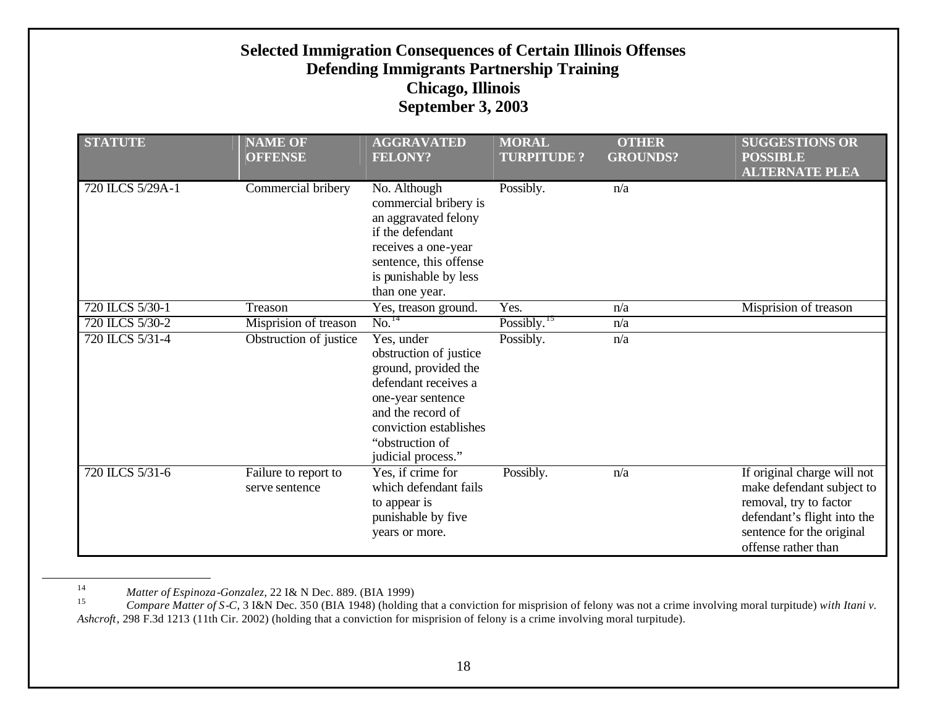| <b>STATUTE</b>                                            | <b>NAME OF</b><br><b>OFFENSE</b> | <b>AGGRAVATED</b><br><b>FELONY?</b>                                                                                                                                                               | <b>MORAL</b><br><b>TURPITUDE?</b> | <b>OTHER</b><br><b>GROUNDS?</b> | <b>SUGGESTIONS OR</b><br><b>POSSIBLE</b><br><b>ALTERNATE PLEA</b>                                                                                                     |
|-----------------------------------------------------------|----------------------------------|---------------------------------------------------------------------------------------------------------------------------------------------------------------------------------------------------|-----------------------------------|---------------------------------|-----------------------------------------------------------------------------------------------------------------------------------------------------------------------|
| 720 ILCS 5/29A-1                                          | Commercial bribery               | No. Although<br>commercial bribery is<br>an aggravated felony<br>if the defendant<br>receives a one-year<br>sentence, this offense<br>is punishable by less<br>than one year.                     | Possibly.                         | n/a                             |                                                                                                                                                                       |
| 720 ILCS 5/30-1                                           | Treason                          | Yes, treason ground.                                                                                                                                                                              | Yes.                              | n/a                             | Misprision of treason                                                                                                                                                 |
| 720 ILCS 5/30-2                                           | Misprision of treason            | No. <sup>14</sup>                                                                                                                                                                                 | Possibly. $^{15}$                 | n/a                             |                                                                                                                                                                       |
| 720 ILCS 5/31-4                                           | Obstruction of justice           | Yes, under<br>obstruction of justice<br>ground, provided the<br>defendant receives a<br>one-year sentence<br>and the record of<br>conviction establishes<br>"obstruction of<br>judicial process." | Possibly.                         | n/a                             |                                                                                                                                                                       |
| 720 ILCS 5/31-6<br>Failure to report to<br>serve sentence |                                  | Yes, if crime for<br>which defendant fails<br>to appear is<br>punishable by five<br>years or more.                                                                                                | Possibly.                         | n/a                             | If original charge will not<br>make defendant subject to<br>removal, try to factor<br>defendant's flight into the<br>sentence for the original<br>offense rather than |

<sup>14</sup> *Matter of Espinoza-Gonzalez*, 22 I& N Dec. 889. (BIA 1999)

<sup>15</sup> *Compare Matter of S-C*, 3 I&N Dec. 350 (BIA 1948) (holding that a conviction for misprision of felony was not a crime involving moral turpitude) *with Itani v. Ashcroft*, 298 F.3d 1213 (11th Cir. 2002) (holding that a conviction for misprision of felony is a crime involving moral turpitude).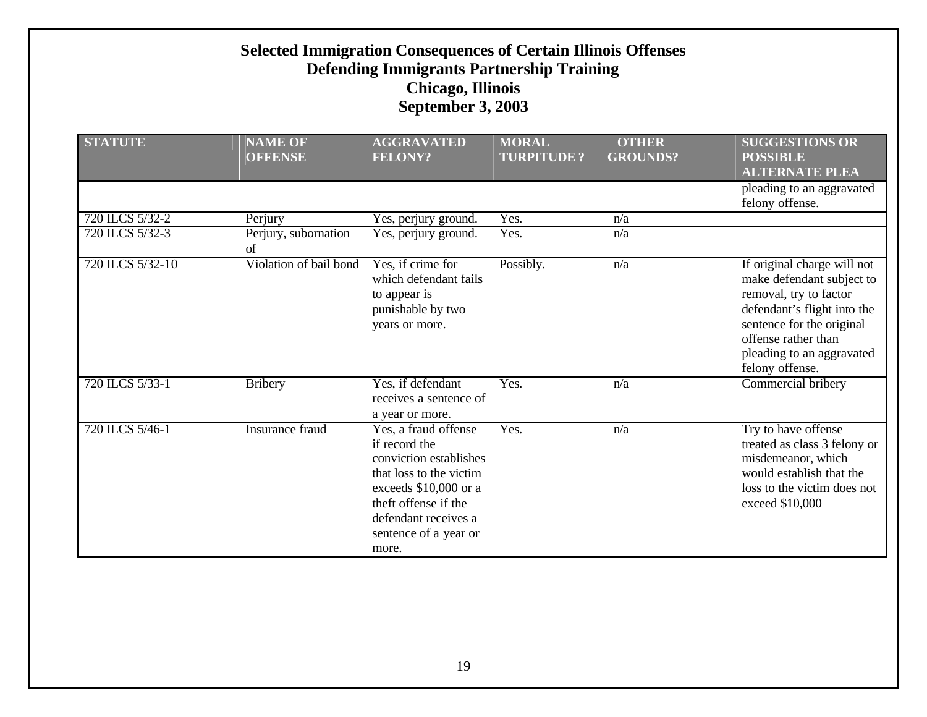| <b>STATUTE</b>   | <b>NAME OF</b><br><b>OFFENSE</b> | <b>AGGRAVATED</b><br><b>FELONY?</b>                                                                                                                                                                   | <b>MORAL</b><br><b>TURPITUDE?</b> | <b>OTHER</b><br><b>GROUNDS?</b> | <b>SUGGESTIONS OR</b><br><b>POSSIBLE</b><br><b>ALTERNATE PLEA</b>                                                                                                                                                     |
|------------------|----------------------------------|-------------------------------------------------------------------------------------------------------------------------------------------------------------------------------------------------------|-----------------------------------|---------------------------------|-----------------------------------------------------------------------------------------------------------------------------------------------------------------------------------------------------------------------|
|                  |                                  |                                                                                                                                                                                                       |                                   |                                 | pleading to an aggravated<br>felony offense.                                                                                                                                                                          |
| 720 ILCS 5/32-2  | Perjury                          | Yes, perjury ground.                                                                                                                                                                                  | Yes.                              | n/a                             |                                                                                                                                                                                                                       |
| 720 ILCS 5/32-3  | Perjury, subornation<br>of       | Yes, perjury ground.                                                                                                                                                                                  | Yes.                              | n/a                             |                                                                                                                                                                                                                       |
| 720 ILCS 5/32-10 | Violation of bail bond           | Yes, if crime for<br>which defendant fails<br>to appear is<br>punishable by two<br>years or more.                                                                                                     | Possibly.                         | n/a                             | If original charge will not<br>make defendant subject to<br>removal, try to factor<br>defendant's flight into the<br>sentence for the original<br>offense rather than<br>pleading to an aggravated<br>felony offense. |
| 720 ILCS 5/33-1  | <b>Bribery</b>                   | Yes, if defendant<br>receives a sentence of<br>a year or more.                                                                                                                                        | Yes.                              | n/a                             | Commercial bribery                                                                                                                                                                                                    |
| 720 ILCS 5/46-1  | Insurance fraud                  | Yes, a fraud offense<br>if record the<br>conviction establishes<br>that loss to the victim<br>exceeds \$10,000 or a<br>theft offense if the<br>defendant receives a<br>sentence of a year or<br>more. | Yes.                              | n/a                             | Try to have offense<br>treated as class 3 felony or<br>misdemeanor, which<br>would establish that the<br>loss to the victim does not<br>exceed \$10,000                                                               |